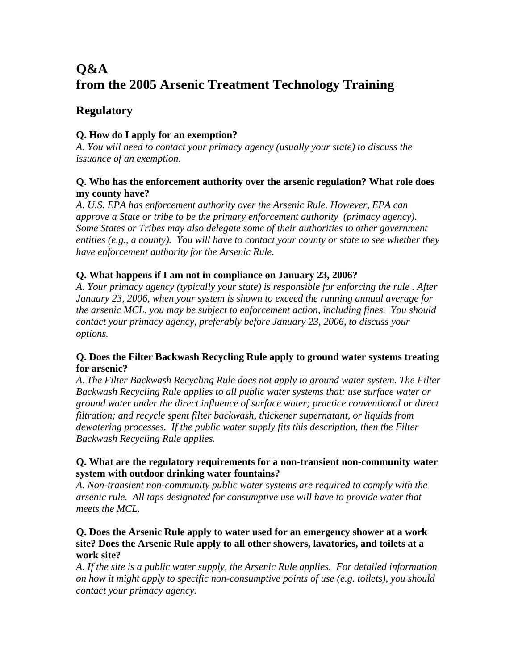# **Q&A from the 2005 Arsenic Treatment Technology Training**

# **Regulatory**

# **Q. How do I apply for an exemption?**

*A. You will need to contact your primacy agency (usually your state) to discuss the issuance of an exemption.* 

# **Q. Who has the enforcement authority over the arsenic regulation? What role does my county have?**

*A. U.S. EPA has enforcement authority over the Arsenic Rule. However, EPA can approve a State or tribe to be the primary enforcement authority (primacy agency). Some States or Tribes may also delegate some of their authorities to other government entities (e.g., a county). You will have to contact your county or state to see whether they have enforcement authority for the Arsenic Rule.* 

# **Q. What happens if I am not in compliance on January 23, 2006?**

*A. Your primacy agency (typically your state) is responsible for enforcing the rule . After January 23, 2006, when your system is shown to exceed the running annual average for the arsenic MCL, you may be subject to enforcement action, including fines. You should contact your primacy agency, preferably before January 23, 2006, to discuss your options.* 

# **Q. Does the Filter Backwash Recycling Rule apply to ground water systems treating for arsenic?**

*A. The Filter Backwash Recycling Rule does not apply to ground water system. The Filter Backwash Recycling Rule applies to all public water systems that: use surface water or ground water under the direct influence of surface water; practice conventional or direct filtration; and recycle spent filter backwash, thickener supernatant, or liquids from dewatering processes. If the public water supply fits this description, then the Filter Backwash Recycling Rule applies.* 

## **Q. What are the regulatory requirements for a non-transient non-community water system with outdoor drinking water fountains?**

*A. Non-transient non-community public water systems are required to comply with the arsenic rule. All taps designated for consumptive use will have to provide water that meets the MCL.* 

## **Q. Does the Arsenic Rule apply to water used for an emergency shower at a work site? Does the Arsenic Rule apply to all other showers, lavatories, and toilets at a work site?**

*A. If the site is a public water supply, the Arsenic Rule applies. For detailed information on how it might apply to specific non-consumptive points of use (e.g. toilets), you should contact your primacy agency.*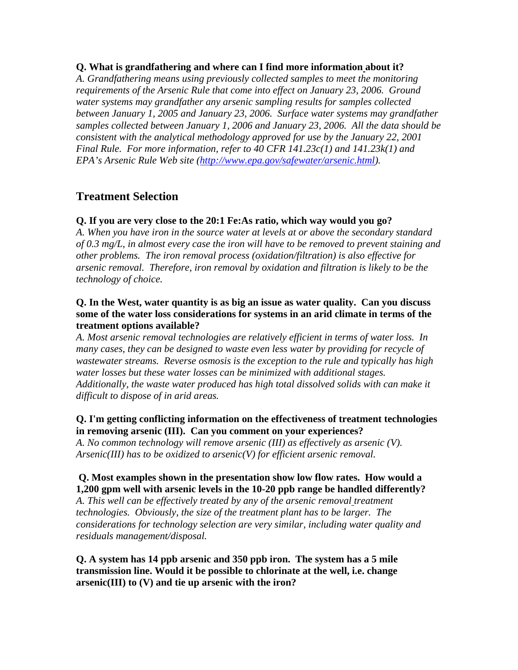#### **Q. What is grandfathering and where can I find more information about it?**

*A. Grandfathering means using previously collected samples to meet the monitoring requirements of the Arsenic Rule that come into effect on January 23, 2006. Ground water systems may grandfather any arsenic sampling results for samples collected between January 1, 2005 and January 23, 2006. Surface water systems may grandfather samples collected between January 1, 2006 and January 23, 2006. All the data should be consistent with the analytical methodology approved for use by the January 22, 2001 Final Rule. For more information, refer to 40 CFR 141.23c(1) and 141.23k(1) and EPA's Arsenic Rule Web site (http://www.epa.gov/safewater/arsenic.html).* 

# **Treatment Selection**

## **Q. If you are very close to the 20:1 Fe:As ratio, which way would you go?**

*A. When you have iron in the source water at levels at or above the secondary standard of 0.3 mg/L, in almost every case the iron will have to be removed to prevent staining and other problems. The iron removal process (oxidation/filtration) is also effective for arsenic removal. Therefore, iron removal by oxidation and filtration is likely to be the technology of choice.* 

#### **Q. In the West, water quantity is as big an issue as water quality. Can you discuss some of the water loss considerations for systems in an arid climate in terms of the treatment options available?**

*A. Most arsenic removal technologies are relatively efficient in terms of water loss. In*  many cases, they can be designed to waste even less water by providing for recycle of *wastewater streams. Reverse osmosis is the exception to the rule and typically has high water losses but these water losses can be minimized with additional stages. Additionally, the waste water produced has high total dissolved solids with can make it difficult to dispose of in arid areas.* 

#### **Q. I'm getting conflicting information on the effectiveness of treatment technologies in removing arsenic (III). Can you comment on your experiences?**

*A. No common technology will remove arsenic (III) as effectively as arsenic (V). Arsenic(III) has to be oxidized to arsenic(V) for efficient arsenic removal.* 

# **Q. Most examples shown in the presentation show low flow rates. How would a 1,200 gpm well with arsenic levels in the 10-20 ppb range be handled differently?**

*A. This well can be effectively treated by any of the arsenic removal treatment technologies. Obviously, the size of the treatment plant has to be larger. The considerations for technology selection are very similar, including water quality and residuals management/disposal.* 

#### **Q. A system has 14 ppb arsenic and 350 ppb iron. The system has a 5 mile transmission line. Would it be possible to chlorinate at the well, i.e. change arsenic(III) to (V) and tie up arsenic with the iron?**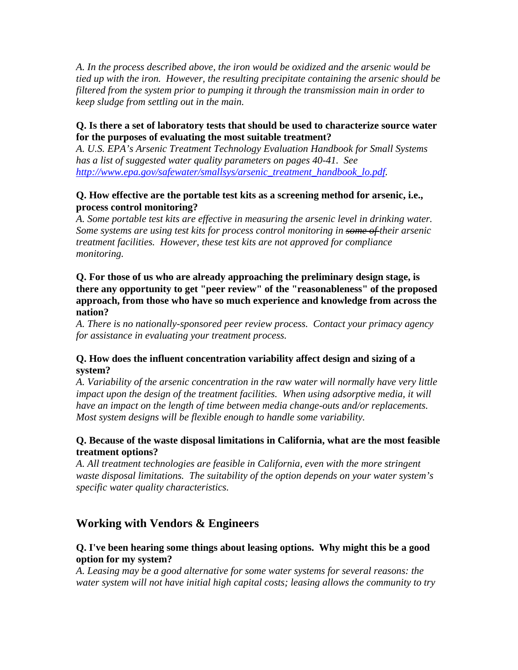*A. In the process described above, the iron would be oxidized and the arsenic would be tied up with the iron. However, the resulting precipitate containing the arsenic should be filtered from the system prior to pumping it through the transmission main in order to keep sludge from settling out in the main.* 

#### **Q. Is there a set of laboratory tests that should be used to characterize source water for the purposes of evaluating the most suitable treatment?**

*A. U.S. EPA's Arsenic Treatment Technology Evaluation Handbook for Small Systems has a list of suggested water quality parameters on pages 40-41. See http://www.epa.gov/safewater/smallsys/arsenic\_treatment\_handbook\_lo.pdf.* 

#### **Q. How effective are the portable test kits as a screening method for arsenic, i.e., process control monitoring?**

*A. Some portable test kits are effective in measuring the arsenic level in drinking water. Some systems are using test kits for process control monitoring in some of their arsenic treatment facilities. However, these test kits are not approved for compliance monitoring.* 

#### **Q. For those of us who are already approaching the preliminary design stage, is there any opportunity to get "peer review" of the "reasonableness" of the proposed approach, from those who have so much experience and knowledge from across the nation?**

*A. There is no nationally-sponsored peer review process. Contact your primacy agency for assistance in evaluating your treatment process.* 

## **Q. How does the influent concentration variability affect design and sizing of a system?**

*A. Variability of the arsenic concentration in the raw water will normally have very little impact upon the design of the treatment facilities. When using adsorptive media, it will have an impact on the length of time between media change-outs and/or replacements. Most system designs will be flexible enough to handle some variability.* 

## **Q. Because of the waste disposal limitations in California, what are the most feasible treatment options?**

*A. All treatment technologies are feasible in California, even with the more stringent waste disposal limitations. The suitability of the option depends on your water system's specific water quality characteristics.* 

# **Working with Vendors & Engineers**

# **Q. I've been hearing some things about leasing options. Why might this be a good option for my system?**

*A. Leasing may be a good alternative for some water systems for several reasons: the water system will not have initial high capital costs; leasing allows the community to try*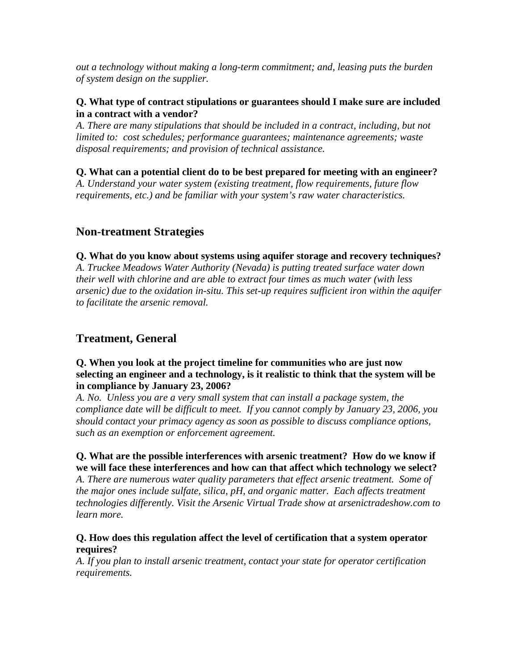*out a technology without making a long-term commitment; and, leasing puts the burden of system design on the supplier.* 

#### **Q. What type of contract stipulations or guarantees should I make sure are included in a contract with a vendor?**

*A. There are many stipulations that should be included in a contract, including, but not limited to: cost schedules; performance guarantees; maintenance agreements; waste disposal requirements; and provision of technical assistance.* 

# **Q. What can a potential client do to be best prepared for meeting with an engineer?**

*A. Understand your water system (existing treatment, flow requirements, future flow requirements, etc.) and be familiar with your system's raw water characteristics.* 

# **Non-treatment Strategies**

**Q. What do you know about systems using aquifer storage and recovery techniques?**  *A. Truckee Meadows Water Authority (Nevada) is putting treated surface water down their well with chlorine and are able to extract four times as much water (with less arsenic) due to the oxidation in-situ. This set-up requires sufficient iron within the aquifer to facilitate the arsenic removal.* 

# **Treatment, General**

## **Q. When you look at the project timeline for communities who are just now selecting an engineer and a technology, is it realistic to think that the system will be in compliance by January 23, 2006?**

*A. No. Unless you are a very small system that can install a package system, the compliance date will be difficult to meet. If you cannot comply by January 23, 2006, you should contact your primacy agency as soon as possible to discuss compliance options, such as an exemption or enforcement agreement.*

# **Q. What are the possible interferences with arsenic treatment? How do we know if we will face these interferences and how can that affect which technology we select?**

*A. There are numerous water quality parameters that effect arsenic treatment. Some of the major ones include sulfate, silica, pH, and organic matter. Each affects treatment technologies differently. Visit the Arsenic Virtual Trade show at arsenictradeshow.com to learn more.* 

#### **Q. How does this regulation affect the level of certification that a system operator requires?**

*A. If you plan to install arsenic treatment, contact your state for operator certification requirements.*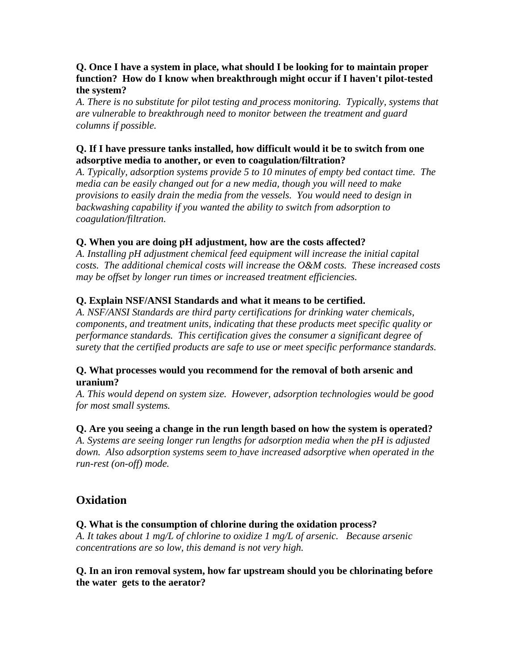#### **Q. Once I have a system in place, what should I be looking for to maintain proper function? How do I know when breakthrough might occur if I haven't pilot-tested the system?**

*A. There is no substitute for pilot testing and process monitoring. Typically, systems that are vulnerable to breakthrough need to monitor between the treatment and guard columns if possible.* 

## **Q. If I have pressure tanks installed, how difficult would it be to switch from one adsorptive media to another, or even to coagulation/filtration?**

*A. Typically, adsorption systems provide 5 to 10 minutes of empty bed contact time. The media can be easily changed out for a new media, though you will need to make provisions to easily drain the media from the vessels. You would need to design in backwashing capability if you wanted the ability to switch from adsorption to coagulation/filtration.* 

# **Q. When you are doing pH adjustment, how are the costs affected?**

*A. Installing pH adjustment chemical feed equipment will increase the initial capital costs. The additional chemical costs will increase the O&M costs. These increased costs may be offset by longer run times or increased treatment efficiencies.* 

# **Q. Explain NSF/ANSI Standards and what it means to be certified.**

*A. NSF/ANSI Standards are third party certifications for drinking water chemicals, components, and treatment units, indicating that these products meet specific quality or performance standards. This certification gives the consumer a significant degree of surety that the certified products are safe to use or meet specific performance standards.* 

## **Q. What processes would you recommend for the removal of both arsenic and uranium?**

*A. This would depend on system size. However, adsorption technologies would be good for most small systems.* 

## **Q. Are you seeing a change in the run length based on how the system is operated?**

*A. Systems are seeing longer run lengths for adsorption media when the pH is adjusted down. Also adsorption systems seem to have increased adsorptive when operated in the run-rest (on-off) mode.* 

# **Oxidation**

## **Q. What is the consumption of chlorine during the oxidation process?**

*A. It takes about 1 mg/L of chlorine to oxidize 1 mg/L of arsenic. Because arsenic concentrations are so low, this demand is not very high.* 

## **Q. In an iron removal system, how far upstream should you be chlorinating before the water gets to the aerator?**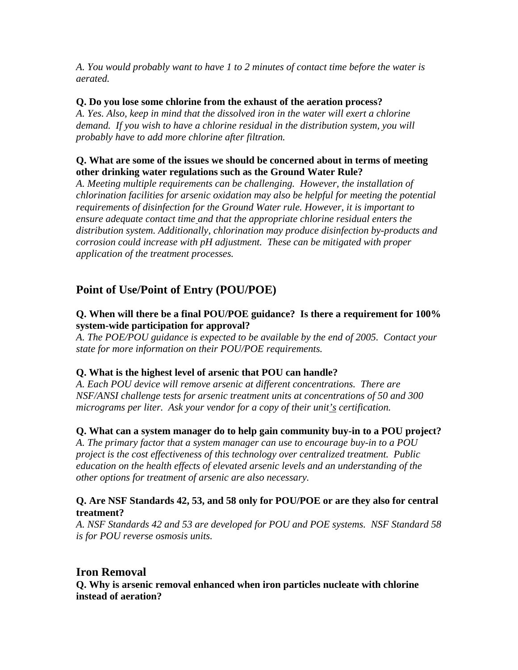*A. You would probably want to have 1 to 2 minutes of contact time before the water is aerated.* 

#### **Q. Do you lose some chlorine from the exhaust of the aeration process?**

*A. Yes. Also, keep in mind that the dissolved iron in the water will exert a chlorine demand. If you wish to have a chlorine residual in the distribution system, you will probably have to add more chlorine after filtration.* 

#### **Q. What are some of the issues we should be concerned about in terms of meeting other drinking water regulations such as the Ground Water Rule?**

*A. Meeting multiple requirements can be challenging. However, the installation of chlorination facilities for arsenic oxidation may also be helpful for meeting the potential requirements of disinfection for the Ground Water rule. However, it is important to ensure adequate contact time and that the appropriate chlorine residual enters the distribution system. Additionally, chlorination may produce disinfection by-products and corrosion could increase with pH adjustment. These can be mitigated with proper application of the treatment processes.* 

# **Point of Use/Point of Entry (POU/POE)**

# **Q. When will there be a final POU/POE guidance? Is there a requirement for 100% system-wide participation for approval?**

*A. The POE/POU guidance is expected to be available by the end of 2005. Contact your state for more information on their POU/POE requirements.* 

## **Q. What is the highest level of arsenic that POU can handle?**

*A. Each POU device will remove arsenic at different concentrations. There are NSF/ANSI challenge tests for arsenic treatment units at concentrations of 50 and 300 micrograms per liter. Ask your vendor for a copy of their unit's certification.* 

## **Q. What can a system manager do to help gain community buy-in to a POU project?**

*A. The primary factor that a system manager can use to encourage buy-in to a POU project is the cost effectiveness of this technology over centralized treatment. Public education on the health effects of elevated arsenic levels and an understanding of the other options for treatment of arsenic are also necessary.* 

#### **Q. Are NSF Standards 42, 53, and 58 only for POU/POE or are they also for central treatment?**

*A. NSF Standards 42 and 53 are developed for POU and POE systems. NSF Standard 58 is for POU reverse osmosis units.* 

# **Iron Removal**

**Q. Why is arsenic removal enhanced when iron particles nucleate with chlorine instead of aeration?**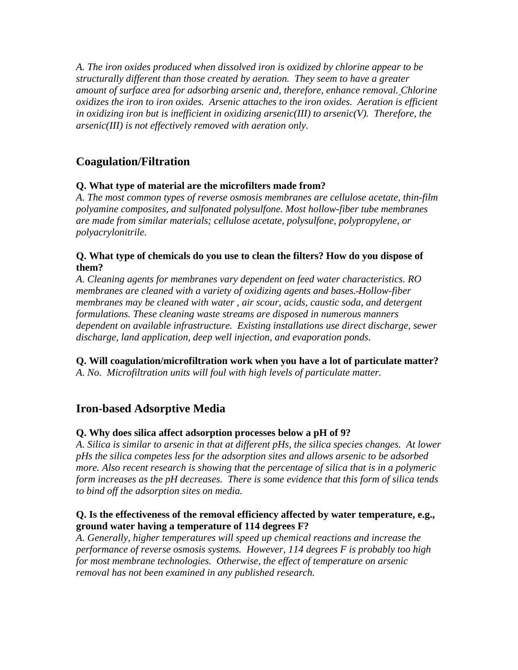*A. The iron oxides produced when dissolved iron is oxidized by chlorine appear to be structurally different than those created by aeration. They seem to have a greater amount of surface area for adsorbing arsenic and, therefore, enhance removal. Chlorine oxidizes the iron to iron oxides. Arsenic attaches to the iron oxides. Aeration is efficient in oxidizing iron but is inefficient in oxidizing arsenic(III) to arsenic(V). Therefore, the arsenic(III) is not effectively removed with aeration only.* 

# **Coagulation/Filtration**

# **Q. What type of material are the microfilters made from?**

*A. The most common types of reverse osmosis membranes are cellulose acetate, thin-film polyamine composites, and sulfonated polysulfone. Most hollow-fiber tube membranes are made from similar materials; cellulose acetate, polysulfone, polypropylene, or polyacrylonitrile.* 

# **Q. What type of chemicals do you use to clean the filters? How do you dispose of them?**

*A. Cleaning agents for membranes vary dependent on feed water characteristics. RO membranes are cleaned with a variety of oxidizing agents and bases. Hollow-fiber membranes may be cleaned with water , air scour, acids, caustic soda, and detergent formulations. These cleaning waste streams are disposed in numerous manners dependent on available infrastructure. Existing installations use direct discharge, sewer discharge, land application, deep well injection, and evaporation ponds.* 

**Q. Will coagulation/microfiltration work when you have a lot of particulate matter?** 

*A. No. Microfiltration units will foul with high levels of particulate matter.* 

# **Iron-based Adsorptive Media**

# **Q. Why does silica affect adsorption processes below a pH of 9?**

*A. Silica is similar to arsenic in that at different pHs, the silica species changes. At lower pHs the silica competes less for the adsorption sites and allows arsenic to be adsorbed more. Also recent research is showing that the percentage of silica that is in a polymeric form increases as the pH decreases. There is some evidence that this form of silica tends to bind off the adsorption sites on media.* 

# **Q. Is the effectiveness of the removal efficiency affected by water temperature, e.g., ground water having a temperature of 114 degrees F?**

*A. Generally, higher temperatures will speed up chemical reactions and increase the performance of reverse osmosis systems. However, 114 degrees F is probably too high for most membrane technologies. Otherwise, the effect of temperature on arsenic removal has not been examined in any published research.*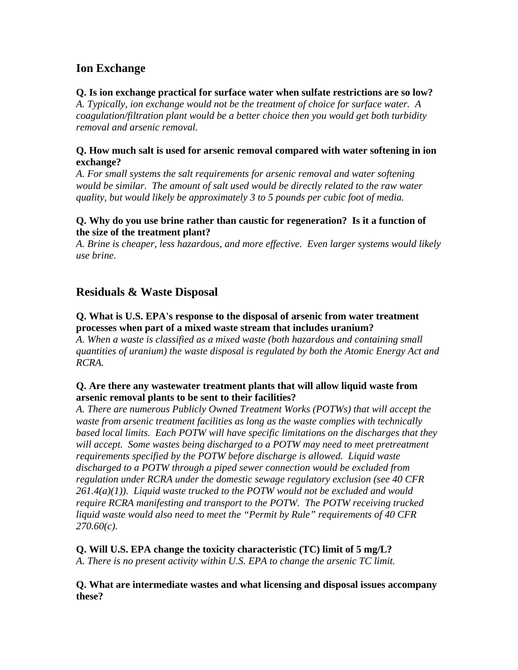# **Ion Exchange**

#### **Q. Is ion exchange practical for surface water when sulfate restrictions are so low?**

*A. Typically, ion exchange would not be the treatment of choice for surface water. A coagulation/filtration plant would be a better choice then you would get both turbidity removal and arsenic removal.* 

#### **Q. How much salt is used for arsenic removal compared with water softening in ion exchange?**

*A. For small systems the salt requirements for arsenic removal and water softening*  would be similar. The amount of salt used would be directly related to the raw water *quality, but would likely be approximately 3 to 5 pounds per cubic foot of media.* 

## **Q. Why do you use brine rather than caustic for regeneration? Is it a function of the size of the treatment plant?**

*A. Brine is cheaper, less hazardous, and more effective. Even larger systems would likely use brine.* 

# **Residuals & Waste Disposal**

# **Q. What is U.S. EPA's response to the disposal of arsenic from water treatment processes when part of a mixed waste stream that includes uranium?**

*A. When a waste is classified as a mixed waste (both hazardous and containing small quantities of uranium) the waste disposal is regulated by both the Atomic Energy Act and RCRA.* 

## **Q. Are there any wastewater treatment plants that will allow liquid waste from arsenic removal plants to be sent to their facilities?**

*A. There are numerous Publicly Owned Treatment Works (POTWs) that will accept the waste from arsenic treatment facilities as long as the waste complies with technically based local limits. Each POTW will have specific limitations on the discharges that they will accept. Some wastes being discharged to a POTW may need to meet pretreatment requirements specified by the POTW before discharge is allowed. Liquid waste discharged to a POTW through a piped sewer connection would be excluded from regulation under RCRA under the domestic sewage regulatory exclusion (see 40 CFR 261.4(a)(1)). Liquid waste trucked to the POTW would not be excluded and would require RCRA manifesting and transport to the POTW. The POTW receiving trucked liquid waste would also need to meet the "Permit by Rule" requirements of 40 CFR 270.60(c).* 

#### **Q. Will U.S. EPA change the toxicity characteristic (TC) limit of 5 mg/L?**  *A. There is no present activity within U.S. EPA to change the arsenic TC limit.*

**Q. What are intermediate wastes and what licensing and disposal issues accompany these?**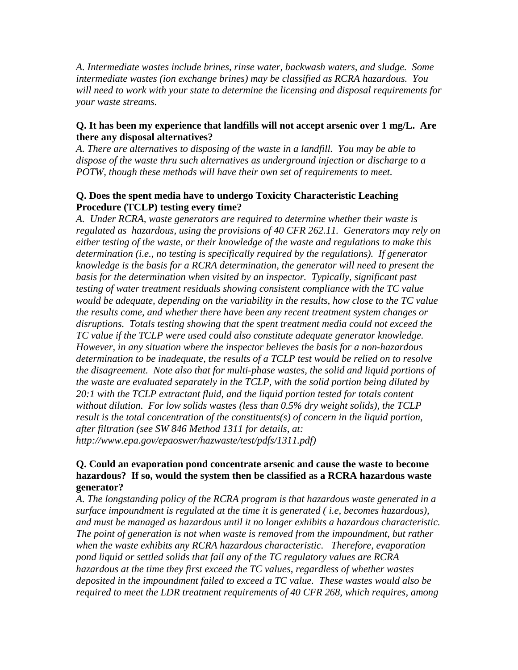*A. Intermediate wastes include brines, rinse water, backwash waters, and sludge. Some intermediate wastes (ion exchange brines) may be classified as RCRA hazardous. You will need to work with your state to determine the licensing and disposal requirements for your waste streams.* 

#### **Q. It has been my experience that landfills will not accept arsenic over 1 mg/L. Are there any disposal alternatives?**

*A. There are alternatives to disposing of the waste in a landfill. You may be able to dispose of the waste thru such alternatives as underground injection or discharge to a POTW, though these methods will have their own set of requirements to meet.* 

#### **Q. Does the spent media have to undergo Toxicity Characteristic Leaching Procedure (TCLP) testing every time?**

*A. Under RCRA, waste generators are required to determine whether their waste is regulated as hazardous, using the provisions of 40 CFR 262.11. Generators may rely on either testing of the waste, or their knowledge of the waste and regulations to make this determination (i.e., no testing is specifically required by the regulations). If generator knowledge is the basis for a RCRA determination, the generator will need to present the basis for the determination when visited by an inspector. Typically, significant past testing of water treatment residuals showing consistent compliance with the TC value would be adequate, depending on the variability in the results, how close to the TC value the results come, and whether there have been any recent treatment system changes or disruptions. Totals testing showing that the spent treatment media could not exceed the TC value if the TCLP were used could also constitute adequate generator knowledge. However, in any situation where the inspector believes the basis for a non-hazardous determination to be inadequate, the results of a TCLP test would be relied on to resolve the disagreement. Note also that for multi-phase wastes, the solid and liquid portions of the waste are evaluated separately in the TCLP, with the solid portion being diluted by 20:1 with the TCLP extractant fluid, and the liquid portion tested for totals content without dilution. For low solids wastes (less than 0.5% dry weight solids), the TCLP result is the total concentration of the constituents(s) of concern in the liquid portion, after filtration (see SW 846 Method 1311 for details, at: http://www.epa.gov/epaoswer/hazwaste/test/pdfs/1311.pdf)* 

#### **Q. Could an evaporation pond concentrate arsenic and cause the waste to become hazardous? If so, would the system then be classified as a RCRA hazardous waste generator?**

*A. The longstanding policy of the RCRA program is that hazardous waste generated in a surface impoundment is regulated at the time it is generated ( i.e, becomes hazardous), and must be managed as hazardous until it no longer exhibits a hazardous characteristic. The point of generation is not when waste is removed from the impoundment, but rather when the waste exhibits any RCRA hazardous characteristic. Therefore, evaporation pond liquid or settled solids that fail any of the TC regulatory values are RCRA hazardous at the time they first exceed the TC values, regardless of whether wastes deposited in the impoundment failed to exceed a TC value. These wastes would also be required to meet the LDR treatment requirements of 40 CFR 268, which requires, among*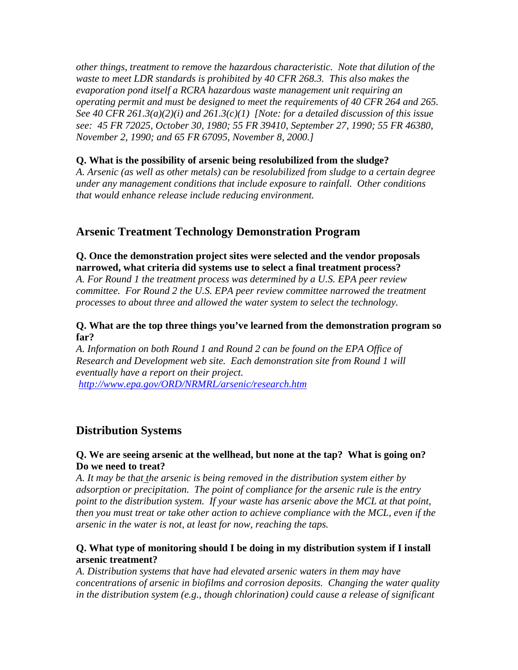*other things, treatment to remove the hazardous characteristic. Note that dilution of the waste to meet LDR standards is prohibited by 40 CFR 268.3. This also makes the evaporation pond itself a RCRA hazardous waste management unit requiring an operating permit and must be designed to meet the requirements of 40 CFR 264 and 265. See 40 CFR 261.3(a)(2)(i) and 261.3(c)(1) [Note: for a detailed discussion of this issue see: 45 FR 72025, October 30, 1980; 55 FR 39410, September 27, 1990; 55 FR 46380, November 2, 1990; and 65 FR 67095, November 8, 2000.]* 

#### **Q. What is the possibility of arsenic being resolubilized from the sludge?**

*A. Arsenic (as well as other metals) can be resolubilized from sludge to a certain degree under any management conditions that include exposure to rainfall. Other conditions that would enhance release include reducing environment.* 

# **Arsenic Treatment Technology Demonstration Program**

## **Q. Once the demonstration project sites were selected and the vendor proposals narrowed, what criteria did systems use to select a final treatment process?**

*A. For Round 1 the treatment process was determined by a U.S. EPA peer review committee. For Round 2 the U.S. EPA peer review committee narrowed the treatment processes to about three and allowed the water system to select the technology.* 

#### **Q. What are the top three things you've learned from the demonstration program so far?**

*A. Information on both Round 1 and Round 2 can be found on the EPA Office of Research and Development web site. Each demonstration site from Round 1 will eventually have a report on their project.*

*http://www.epa.gov/ORD/NRMRL/arsenic/research.htm*

# **Distribution Systems**

#### **Q. We are seeing arsenic at the wellhead, but none at the tap? What is going on? Do we need to treat?**

*A. It may be that the arsenic is being removed in the distribution system either by adsorption or precipitation. The point of compliance for the arsenic rule is the entry point to the distribution system. If your waste has arsenic above the MCL at that point, then you must treat or take other action to achieve compliance with the MCL, even if the arsenic in the water is not, at least for now, reaching the taps.* 

#### **Q. What type of monitoring should I be doing in my distribution system if I install arsenic treatment?**

*A. Distribution systems that have had elevated arsenic waters in them may have concentrations of arsenic in biofilms and corrosion deposits. Changing the water quality in the distribution system (e.g., though chlorination) could cause a release of significant*